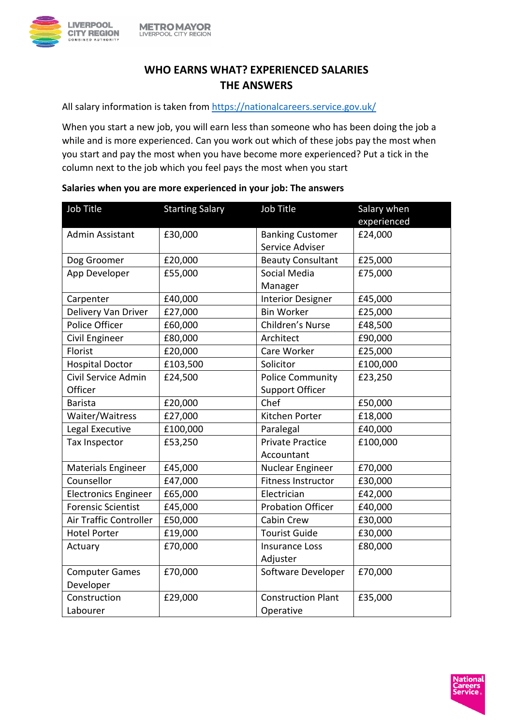

## **WHO EARNS WHAT? EXPERIENCED SALARIES THE ANSWERS**

All salary information is taken from<https://nationalcareers.service.gov.uk/>

When you start a new job, you will earn less than someone who has been doing the job a while and is more experienced. Can you work out which of these jobs pay the most when you start and pay the most when you have become more experienced? Put a tick in the column next to the job which you feel pays the most when you start

| Job Title                   | <b>Starting Salary</b> | Job Title                 | Salary when |
|-----------------------------|------------------------|---------------------------|-------------|
|                             |                        |                           | experienced |
| Admin Assistant             | £30,000                | <b>Banking Customer</b>   | £24,000     |
|                             |                        | Service Adviser           |             |
| Dog Groomer                 | £20,000                | <b>Beauty Consultant</b>  | £25,000     |
| App Developer               | £55,000                | Social Media              | £75,000     |
|                             |                        | Manager                   |             |
| Carpenter                   | £40,000                | <b>Interior Designer</b>  | £45,000     |
| Delivery Van Driver         | £27,000                | <b>Bin Worker</b>         | £25,000     |
| Police Officer              | £60,000                | Children's Nurse          | £48,500     |
| Civil Engineer              | £80,000                | Architect                 | £90,000     |
| Florist                     | £20,000                | Care Worker               | £25,000     |
| <b>Hospital Doctor</b>      | £103,500               | Solicitor                 | £100,000    |
| Civil Service Admin         | £24,500                | <b>Police Community</b>   | £23,250     |
| Officer                     |                        | <b>Support Officer</b>    |             |
| <b>Barista</b>              | £20,000                | Chef                      | £50,000     |
| Waiter/Waitress             | £27,000                | Kitchen Porter            | £18,000     |
| Legal Executive             | £100,000               | Paralegal                 | £40,000     |
| <b>Tax Inspector</b>        | £53,250                | <b>Private Practice</b>   | £100,000    |
|                             |                        | Accountant                |             |
| Materials Engineer          | £45,000                | Nuclear Engineer          | £70,000     |
| Counsellor                  | £47,000                | <b>Fitness Instructor</b> | £30,000     |
| <b>Electronics Engineer</b> | £65,000                | Electrician               | £42,000     |
| <b>Forensic Scientist</b>   | £45,000                | <b>Probation Officer</b>  | £40,000     |
| Air Traffic Controller      | £50,000                | Cabin Crew                | £30,000     |
| <b>Hotel Porter</b>         | £19,000                | <b>Tourist Guide</b>      | £30,000     |
| Actuary                     | £70,000                | <b>Insurance Loss</b>     | £80,000     |
|                             |                        | Adjuster                  |             |
| <b>Computer Games</b>       | £70,000                | Software Developer        | £70,000     |
| Developer                   |                        |                           |             |
| Construction                | £29,000                | <b>Construction Plant</b> | £35,000     |
| Labourer                    |                        | Operative                 |             |

## **Salaries when you are more experienced in your job: The answers**